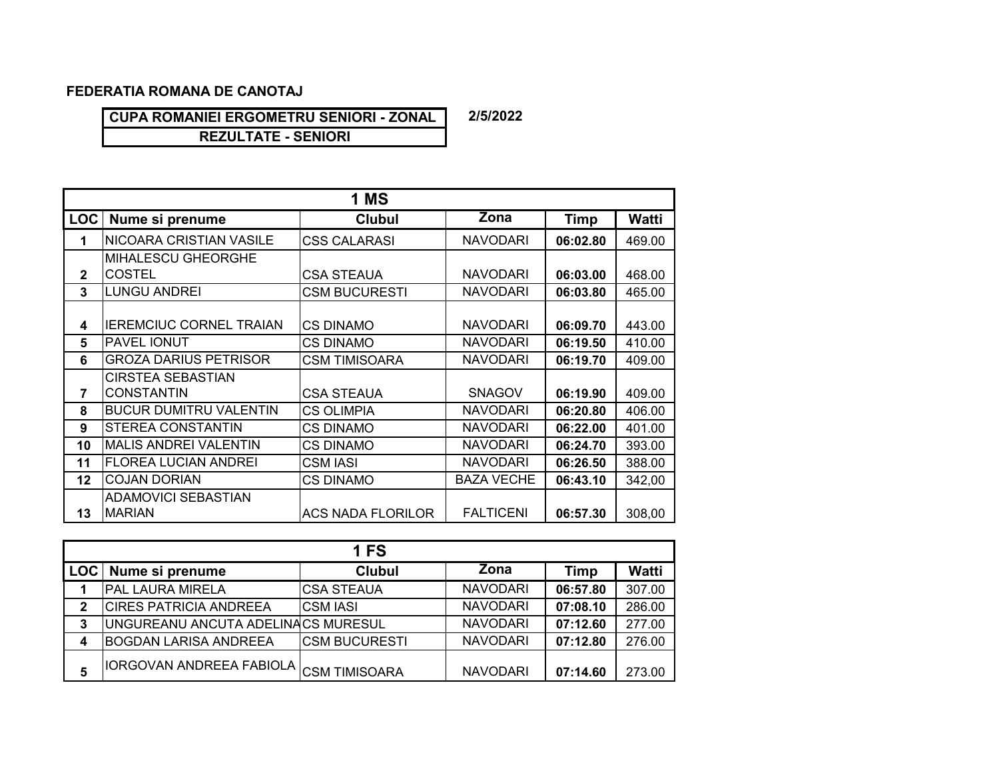## **FEDERATIA ROMANA DE CANOTAJ**

**CUPA ROMANIEI ERGOMETRU SENIORI - ZONAL** 

**REZULTATE - SENIORI**

|                | 1 MS                           |                          |                    |          |              |  |  |  |  |  |  |
|----------------|--------------------------------|--------------------------|--------------------|----------|--------------|--|--|--|--|--|--|
| <b>LOC</b>     | Nume si prenume                | <b>Clubul</b>            | $\overline{Z}$ ona | Timp     | <b>Watti</b> |  |  |  |  |  |  |
| 1              | <b>NICOARA CRISTIAN VASILE</b> | <b>CSS CALARASI</b>      | <b>NAVODARI</b>    | 06:02.80 | 469.00       |  |  |  |  |  |  |
|                | <b>MIHALESCU GHEORGHE</b>      |                          |                    |          |              |  |  |  |  |  |  |
| $\mathbf{2}$   | <b>COSTEL</b>                  | <b>CSA STEAUA</b>        | <b>NAVODARI</b>    | 06:03.00 | 468.00       |  |  |  |  |  |  |
| 3              | <b>LUNGU ANDREI</b>            | <b>CSM BUCURESTI</b>     | <b>NAVODARI</b>    | 06:03.80 | 465.00       |  |  |  |  |  |  |
|                |                                |                          |                    |          |              |  |  |  |  |  |  |
| 4              | <b>IEREMCIUC CORNEL TRAIAN</b> | <b>CS DINAMO</b>         | <b>NAVODARI</b>    | 06:09.70 | 443.00       |  |  |  |  |  |  |
| 5              | PAVEL IONUT                    | <b>CS DINAMO</b>         | <b>NAVODARI</b>    | 06:19.50 | 410.00       |  |  |  |  |  |  |
| 6              | <b>GROZA DARIUS PETRISOR</b>   | <b>CSM TIMISOARA</b>     | <b>NAVODARI</b>    | 06:19.70 | 409.00       |  |  |  |  |  |  |
|                | <b>CIRSTEA SEBASTIAN</b>       |                          |                    |          |              |  |  |  |  |  |  |
| $\overline{7}$ | <b>CONSTANTIN</b>              | <b>CSA STEAUA</b>        | <b>SNAGOV</b>      | 06:19.90 | 409.00       |  |  |  |  |  |  |
| 8              | <b>BUCUR DUMITRU VALENTIN</b>  | <b>CS OLIMPIA</b>        | <b>NAVODARI</b>    | 06:20.80 | 406.00       |  |  |  |  |  |  |
| 9              | <b>STEREA CONSTANTIN</b>       | <b>CS DINAMO</b>         | <b>NAVODARI</b>    | 06:22.00 | 401.00       |  |  |  |  |  |  |
| 10             | <b>MALIS ANDREI VALENTIN</b>   | <b>CS DINAMO</b>         | <b>NAVODARI</b>    | 06:24.70 | 393.00       |  |  |  |  |  |  |
| 11             | <b>FLOREA LUCIAN ANDREI</b>    | CSM IASI                 | <b>NAVODARI</b>    | 06:26.50 | 388.00       |  |  |  |  |  |  |
| 12             | <b>COJAN DORIAN</b>            | <b>CS DINAMO</b>         | <b>BAZA VECHE</b>  | 06:43.10 | 342,00       |  |  |  |  |  |  |
|                | ADAMOVICI SEBASTIAN            |                          |                    |          |              |  |  |  |  |  |  |
| 13             | <b>MARIAN</b>                  | <b>ACS NADA FLORILOR</b> | <b>FALTICENI</b>   | 06:57.30 | 308,00       |  |  |  |  |  |  |

| <b>1 FS</b>  |                                         |                      |                 |          |              |  |  |  |  |
|--------------|-----------------------------------------|----------------------|-----------------|----------|--------------|--|--|--|--|
| LOC          | Nume si prenume                         | <b>Clubul</b>        | Zona            | Timp     | <b>Watti</b> |  |  |  |  |
|              | <b>PAL LAURA MIRELA</b>                 | <b>CSA STEAUA</b>    | <b>NAVODARI</b> | 06:57.80 | 307.00       |  |  |  |  |
| $\mathbf{2}$ | <b>ICIRES PATRICIA ANDREEA</b>          | <b>CSM IASI</b>      | <b>NAVODARI</b> | 07:08.10 | 286.00       |  |  |  |  |
| 3            | UNGUREANU ANCUTA ADELINACS MURESUL      |                      | <b>NAVODARI</b> | 07:12.60 | 277.00       |  |  |  |  |
| 4            | <b>BOGDAN LARISA ANDREEA</b>            | <b>CSM BUCURESTI</b> | <b>NAVODARI</b> | 07:12.80 | 276.00       |  |  |  |  |
| 5            | IIORGOVAN ANDREEA FABIOLA CSM TIMISOARA |                      | <b>NAVODARI</b> | 07:14.60 | 273.00       |  |  |  |  |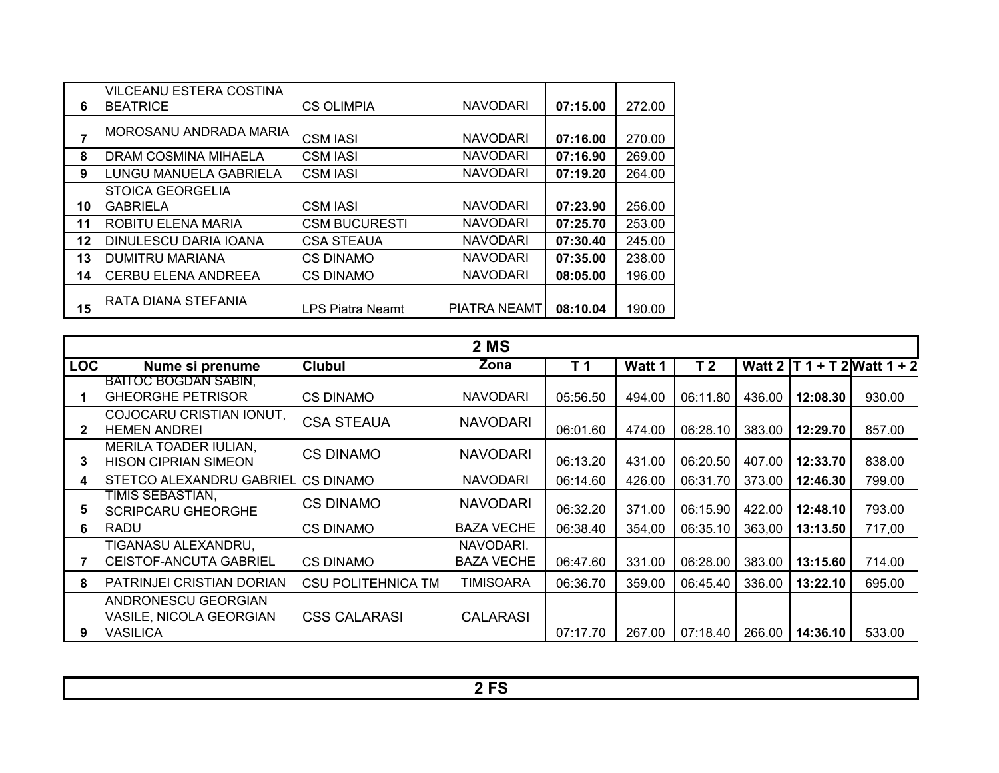|    | <b>VILCEANU ESTERA COSTINA</b> |                         |                 |          |        |
|----|--------------------------------|-------------------------|-----------------|----------|--------|
| 6  | <b>BEATRICE</b>                | <b>CS OLIMPIA</b>       | <b>NAVODARI</b> | 07:15.00 | 272.00 |
| 7  | IMOROSANU ANDRADA MARIA        | <b>CSM IASI</b>         | <b>NAVODARI</b> | 07:16.00 | 270.00 |
| 8  | <b>DRAM COSMINA MIHAELA</b>    | <b>CSM IASI</b>         | <b>NAVODARI</b> | 07:16.90 | 269.00 |
| 9  | LUNGU MANUELA GABRIELA         | <b>CSM IASI</b>         | <b>NAVODARI</b> | 07:19.20 | 264.00 |
|    | <b>STOICA GEORGELIA</b>        |                         |                 |          |        |
| 10 | <b>GABRIELA</b>                | <b>CSM IASI</b>         | <b>NAVODARI</b> | 07:23.90 | 256.00 |
| 11 | <b>ROBITU ELENA MARIA</b>      | <b>CSM BUCURESTI</b>    | <b>NAVODARI</b> | 07:25.70 | 253.00 |
| 12 | <b>DINULESCU DARIA IOANA</b>   | <b>CSA STEAUA</b>       | <b>NAVODARI</b> | 07:30.40 | 245.00 |
| 13 | <b>DUMITRU MARIANA</b>         | CS DINAMO               | <b>NAVODARI</b> | 07:35.00 | 238.00 |
| 14 | <b>CERBU ELENA ANDREEA</b>     | <b>CS DINAMO</b>        | <b>NAVODARI</b> | 08:05.00 | 196.00 |
| 15 | IRATA DIANA STEFANIA           | <b>LPS Piatra Neamt</b> | IPIATRA NEAMT   | 08:10.04 | 190.00 |

|              | 2 MS                                                                     |                            |                                |                |        |                |        |                   |                               |  |
|--------------|--------------------------------------------------------------------------|----------------------------|--------------------------------|----------------|--------|----------------|--------|-------------------|-------------------------------|--|
| <b>LOC</b>   | Nume si prenume                                                          | <b>Clubul</b>              | Zona                           | T <sub>1</sub> | Watt 1 | T <sub>2</sub> |        |                   | Watt $2 T1 + T2$ Watt $1 + 2$ |  |
|              | <b>BAITOC BOGDAN SABIN,</b><br><b>GHEORGHE PETRISOR</b>                  | ICS DINAMO                 | <b>NAVODARI</b>                | 05:56.50       | 494.00 | 06:11.80       | 436.00 | 12:08.30          | 930.00                        |  |
| $\mathbf{2}$ | COJOCARU CRISTIAN IONUT,<br><b>HEMEN ANDREI</b>                          | <b>CSA STEAUA</b>          | <b>NAVODARI</b>                | 06:01.60       | 474.00 | 06:28.10       | 383.00 | 12:29.70          | 857.00                        |  |
| 3            | MERILA TOADER IULIAN,<br><b>HISON CIPRIAN SIMEON</b>                     | <b>CS DINAMO</b>           | <b>NAVODARI</b>                | 06:13.20       | 431.00 | 06:20.50       | 407.00 | 12:33.70          | 838.00                        |  |
| 4            | <b>STETCO ALEXANDRU GABRIEL</b>                                          | <b>ICS DINAMO</b>          | <b>NAVODARI</b>                | 06:14.60       | 426.00 | 06:31.70       | 373.00 | 12:46.30          | 799.00                        |  |
| 5            | TIMIS SEBASTIAN.<br><b>SCRIPCARU GHEORGHE</b>                            | <b>CS DINAMO</b>           | <b>NAVODARI</b>                | 06:32.20       | 371.00 | 06:15.90       | 422.00 | 12:48.10          | 793.00                        |  |
| 6            | RADU                                                                     | ICS DINAMO                 | <b>BAZA VECHE</b>              | 06:38.40       | 354,00 | 06:35.10       | 363,00 | 13:13.50          | 717,00                        |  |
|              | TIGANASU ALEXANDRU,<br><b>CEISTOF-ANCUTA GABRIEL</b>                     | <b>CS DINAMO</b>           | NAVODARI.<br><b>BAZA VECHE</b> | 06:47.60       | 331.00 | 06:28.00       | 383.00 | 13:15.60          | 714.00                        |  |
| 8            | PATRINJEI CRISTIAN DORIAN                                                | <b>ICSU POLITEHNICA TM</b> | TIMISOARA                      | 06:36.70       | 359.00 | 06:45.40       | 336.00 | 13:22.10          | 695.00                        |  |
| 9            | <b>ANDRONESCU GEORGIAN</b><br>VASILE, NICOLA GEORGIAN<br><b>VASILICA</b> | <b>ICSS CALARASI</b>       | <b>CALARASI</b>                | 07:17.70       | 267.00 | 07:18.40       |        | 266.00   14:36.10 | 533.00                        |  |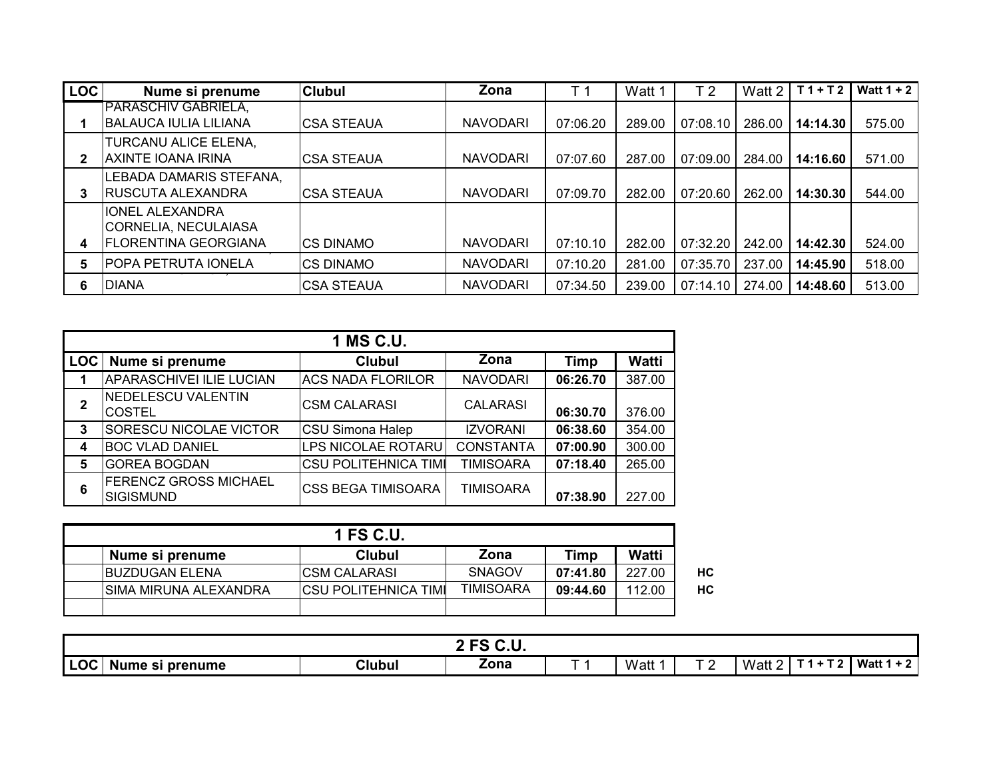| <b>LOC</b> | Nume si prenume                                                         | <b>Clubul</b>     | Zona            | T 1      | Watt 1 | T <sub>2</sub> | Watt 2 | $T1+T2$  | Watt $1 + 2$ |
|------------|-------------------------------------------------------------------------|-------------------|-----------------|----------|--------|----------------|--------|----------|--------------|
|            | PARASCHIV GABRIELA,<br> BALAUCA IULIA LILIANA                           | <b>CSA STEAUA</b> | <b>NAVODARI</b> | 07:06.20 | 289.00 | 07:08.10       | 286.00 | 14:14.30 | 575.00       |
|            | TURCANU ALICE ELENA,<br>AXINTE IOANA IRINA                              | <b>CSA STEAUA</b> | <b>NAVODARI</b> | 07:07.60 | 287.00 | 07:09.00       | 284.00 | 14:16.60 | 571.00       |
|            | LEBADA DAMARIS STEFANA,<br><b>IRUSCUTA ALEXANDRA</b>                    | <b>CSA STEAUA</b> | <b>NAVODARI</b> | 07:09.70 | 282.00 | 07:20.60       | 262.00 | 14:30.30 | 544.00       |
|            | <b>IONEL ALEXANDRA</b><br>CORNELIA, NECULAIASA<br>IFLORENTINA GEORGIANA | <b>ICS DINAMO</b> | <b>NAVODARI</b> | 07:10.10 | 282.00 | 07:32.20       | 242.00 | 14:42.30 | 524.00       |
|            | POPA PETRUTA IONELA                                                     | ICS DINAMO        | <b>NAVODARI</b> | 07:10.20 | 281.00 | 07:35.70       | 237.00 | 14:45.90 | 518.00       |
| 6          | <b>DIANA</b>                                                            | <b>CSA STEAUA</b> | <b>NAVODARI</b> | 07:34.50 | 239.00 | 07:14.10       | 274.00 | 14:48.60 | 513.00       |

|            |                                                  | 1 MS C.U.                   |                  |          |        |
|------------|--------------------------------------------------|-----------------------------|------------------|----------|--------|
| <b>LOC</b> | Nume si prenume                                  | <b>Clubul</b>               | Zona             | Timp     | Watti  |
|            | <b>APARASCHIVEI ILIE LUCIAN</b>                  | <b>ACS NADA FLORILOR</b>    | <b>NAVODARI</b>  | 06:26.70 | 387.00 |
| 2          | NEDELESCU VALENTIN<br><b>COSTEL</b>              | ICSM CALARASI               | <b>CALARASI</b>  | 06:30.70 | 376.00 |
| 3          | <b>SORESCU NICOLAE VICTOR</b>                    | <b>CSU Simona Halep</b>     | <b>IZVORANI</b>  | 06:38.60 | 354.00 |
| 4          | <b>BOC VLAD DANIEL</b>                           | LPS NICOLAE ROTARU          | <b>CONSTANTA</b> | 07:00.90 | 300.00 |
| 5          | <b>GOREA BOGDAN</b>                              | <b>CSU POLITEHNICA TIMI</b> | <b>TIMISOARA</b> | 07:18.40 | 265.00 |
| 6          | <b>FERENCZ GROSS MICHAEL</b><br><b>SIGISMUND</b> | <b>ICSS BEGA TIMISOARA</b>  | <b>TIMISOARA</b> | 07:38.90 | 227.00 |

| 1 FS C.U.              |                       |                  |          |        |    |  |  |  |
|------------------------|-----------------------|------------------|----------|--------|----|--|--|--|
| Nume si prenume        | Clubul                | Zona             | Timp     | Watti  |    |  |  |  |
| <b>IBUZDUGAN ELENA</b> | ICSM CALARASI         | <b>SNAGOV</b>    | 07:41.80 | 227.00 | НC |  |  |  |
| ISIMA MIRUNA ALEXANDRA | ICSU POLITEHNICA TIMI | <b>TIMISOARA</b> | 09:44.60 | 112.00 | HC |  |  |  |
|                        |                       |                  |          |        |    |  |  |  |

|                               |                            | $2C$ $C$ $H$<br>$\sim$<br>v.u |      |               |        |                         |                    |
|-------------------------------|----------------------------|-------------------------------|------|---------------|--------|-------------------------|--------------------|
| <b>LOC</b><br>Nume si prenume | Clubul<br>. . <b>. .</b> . | Zona                          | Watt | $\tau$ $\sim$ | Watt 2 | $\mathbf{r}$<br>$T A +$ | I Watt<br>. .<br>L |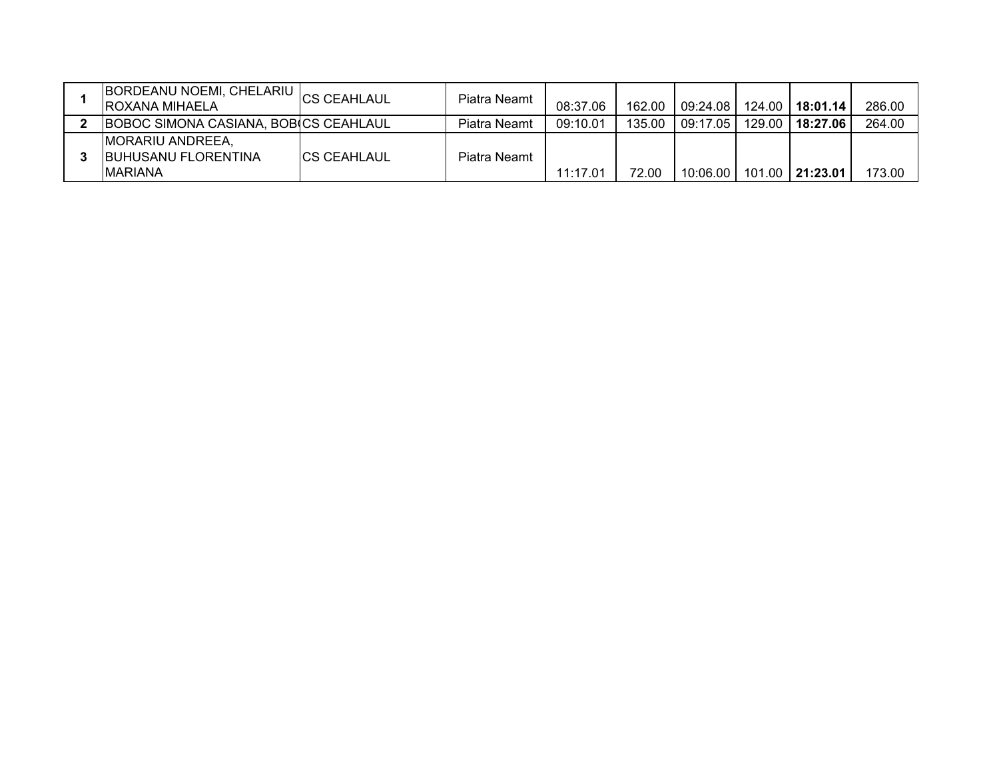| $\mathcal{L}$ [BORDEANU NOEMI, CHELARIU $\mathcal{L}_\mathrm{CS}$ CEAHLAUL<br>IROXANA MIHAELA |                     | Piatra Neamt | 08:37.06 | 162.00 | 09:24.08   124.00         |        | 18:01.14        | 286.00 |
|-----------------------------------------------------------------------------------------------|---------------------|--------------|----------|--------|---------------------------|--------|-----------------|--------|
| BOBOC SIMONA CASIANA, BOBICS CEAHLAUL                                                         |                     | Piatra Neamt | 09:10.01 | 135.00 | 09:17.05                  | 129.00 | 18:27.06        | 264.00 |
| <b>IMORARIU ANDREEA,</b><br><b>IBUHUSANU FLORENTINA</b><br><b>IMARIANA</b>                    | <b>ICS CEAHLAUL</b> | Piatra Neamt | 11:17.01 | 72.00  | $10:06.00$ $\blacksquare$ |        | 101.00 21:23.01 | 173.00 |